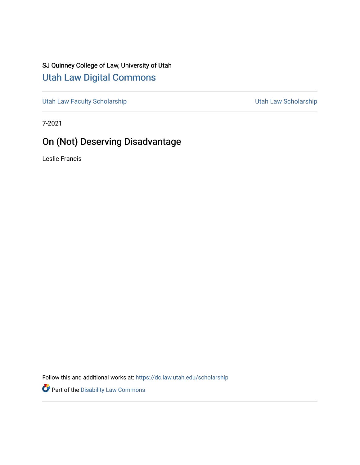# SJ Quinney College of Law, University of Utah [Utah Law Digital Commons](https://dc.law.utah.edu/)

[Utah Law Faculty Scholarship](https://dc.law.utah.edu/scholarship) [Utah Law Scholarship](https://dc.law.utah.edu/utah_scholarship) 

7-2021

# On (Not) Deserving Disadvantage

Leslie Francis

Follow this and additional works at: [https://dc.law.utah.edu/scholarship](https://dc.law.utah.edu/scholarship?utm_source=dc.law.utah.edu%2Fscholarship%2F307&utm_medium=PDF&utm_campaign=PDFCoverPages) 

Part of the [Disability Law Commons](http://network.bepress.com/hgg/discipline/1074?utm_source=dc.law.utah.edu%2Fscholarship%2F307&utm_medium=PDF&utm_campaign=PDFCoverPages)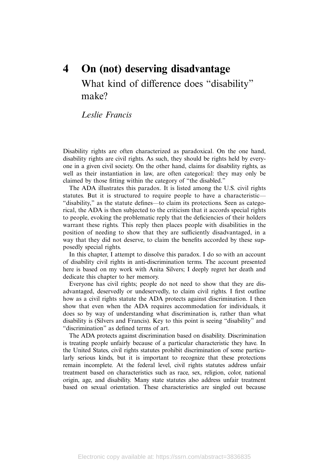# 4 On (not) deserving disadvantage What kind of difference does "disability" make?

# Leslie Francis

Disability rights are often characterized as paradoxical. On the one hand, disability rights are civil rights. As such, they should be rights held by everyone in a given civil society. On the other hand, claims for disability rights, as well as their instantiation in law, are often categorical: they may only be claimed by those fitting within the category of "the disabled."

The ADA illustrates this paradox. It is listed among the U.S. civil rights statutes. But it is structured to require people to have a characteristic— "disability," as the statute defines—to claim its protections. Seen as categorical, the ADA is then subjected to the criticism that it accords special rights to people, evoking the problematic reply that the deficiencies of their holders warrant these rights. This reply then places people with disabilities in the position of needing to show that they are sufficiently disadvantaged, in a way that they did not deserve, to claim the benefits accorded by these supposedly special rights.

In this chapter, I attempt to dissolve this paradox. I do so with an account of disability civil rights in anti-discrimination terms. The account presented here is based on my work with Anita Silvers; I deeply regret her death and dedicate this chapter to her memory.

Everyone has civil rights; people do not need to show that they are disadvantaged, deservedly or undeservedly, to claim civil rights. I first outline how as a civil rights statute the ADA protects against discrimination. I then show that even when the ADA requires accommodation for individuals, it does so by way of understanding what discrimination is, rather than what disability is (Silvers and Francis). Key to this point is seeing "disability" and "discrimination" as defined terms of art.

The ADA protects against discrimination based on disability. Discrimination is treating people unfairly because of a particular characteristic they have. In the United States, civil rights statutes prohibit discrimination of some particularly serious kinds, but it is important to recognize that these protections remain incomplete. At the federal level, civil rights statutes address unfair treatment based on characteristics such as race, sex, religion, color, national origin, age, and disability. Many state statutes also address unfair treatment based on sexual orientation. These characteristics are singled out because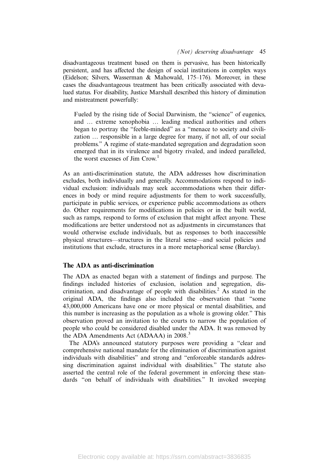disadvantageous treatment based on them is pervasive, has been historically persistent, and has affected the design of social institutions in complex ways (Eidelson; Silvers, Wasserman & Mahowald, 175–176). Moreover, in these cases the disadvantageous treatment has been critically associated with devalued status. For disability, Justice Marshall described this history of diminution and mistreatment powerfully:

Fueled by the rising tide of Social Darwinism, the "science" of eugenics, and … extreme xenophobia … leading medical authorities and others began to portray the "feeble-minded" as a "menace to society and civilization … responsible in a large degree for many, if not all, of our social problems." A regime of state-mandated segregation and degradation soon emerged that in its virulence and bigotry rivaled, and indeed paralleled, the worst excesses of  $\text{Jim}$  Crow.<sup>1</sup>

As an anti-discrimination statute, the ADA addresses how discrimination excludes, both individually and generally. Accommodations respond to individual exclusion: individuals may seek accommodations when their differences in body or mind require adjustments for them to work successfully, participate in public services, or experience public accommodations as others do. Other requirements for modifications in policies or in the built world, such as ramps, respond to forms of exclusion that might affect anyone. These modifications are better understood not as adjustments in circumstances that would otherwise exclude individuals, but as responses to both inaccessible physical structures—structures in the literal sense—and social policies and institutions that exclude, structures in a more metaphorical sense (Barclay).

# The ADA as anti-discrimination

The ADA as enacted began with a statement of findings and purpose. The findings included histories of exclusion, isolation and segregation, discrimination, and disadvantage of people with disabilities.<sup>2</sup> As stated in the original ADA, the findings also included the observation that "some 43,000,000 Americans have one or more physical or mental disabilities, and this number is increasing as the population as a whole is growing older." This observation proved an invitation to the courts to narrow the population of people who could be considered disabled under the ADA. It was removed by the ADA Amendments Act (ADAAA) in 2008.<sup>3</sup>

The ADA's announced statutory purposes were providing a "clear and comprehensive national mandate for the elimination of discrimination against individuals with disabilities" and strong and "enforceable standards addressing discrimination against individual with disabilities." The statute also asserted the central role of the federal government in enforcing these standards "on behalf of individuals with disabilities." It invoked sweeping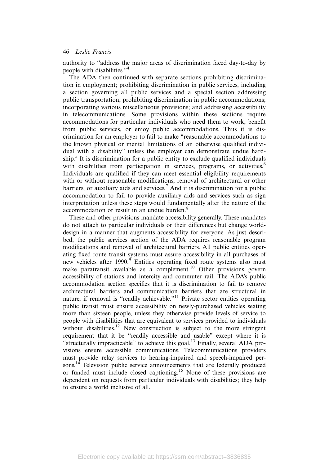authority to "address the major areas of discrimination faced day-to-day by people with disabilities."<sup>4</sup>

The ADA then continued with separate sections prohibiting discrimination in employment; prohibiting discrimination in public services, including a section governing all public services and a special section addressing public transportation; prohibiting discrimination in public accommodations; incorporating various miscellaneous provisions; and addressing accessibility in telecommunications. Some provisions within these sections require accommodations for particular individuals who need them to work, benefit from public services, or enjoy public accommodations. Thus it is discrimination for an employer to fail to make "reasonable accommodations to the known physical or mental limitations of an otherwise qualified individual with a disability" unless the employer can demonstrate undue hardship.<sup>5</sup> It is discrimination for a public entity to exclude qualified individuals with disabilities from participation in services, programs, or activities.<sup>6</sup> Individuals are qualified if they can meet essential eligibility requirements with or without reasonable modifications, removal of architectural or other barriers, or auxiliary aids and services.<sup>7</sup> And it is discrimination for a public accommodation to fail to provide auxiliary aids and services such as sign interpretation unless these steps would fundamentally alter the nature of the accommodation or result in an undue burden.<sup>8</sup>

These and other provisions mandate accessibility generally. These mandates do not attach to particular individuals or their differences but change worlddesign in a manner that augments accessibility for everyone. As just described, the public services section of the ADA requires reasonable program modifications and removal of architectural barriers. All public entities operating fixed route transit systems must assure accessibility in all purchases of new vehicles after 1990.<sup>9</sup> Entities operating fixed route systems also must make paratransit available as a complement.<sup>10</sup> Other provisions govern accessibility of stations and intercity and commuter rail. The ADA's public accommodation section specifies that it is discrimination to fail to remove architectural barriers and communication barriers that are structural in nature, if removal is "readily achievable."<sup>11</sup> Private sector entities operating public transit must ensure accessibility on newly-purchased vehicles seating more than sixteen people, unless they otherwise provide levels of service to people with disabilities that are equivalent to services provided to individuals without disabilities.<sup>12</sup> New construction is subject to the more stringent requirement that it be "readily accessible and usable" except where it is "structurally impracticable" to achieve this goal.<sup>13</sup> Finally, several ADA provisions ensure accessible communications. Telecommunications providers must provide relay services to hearing-impaired and speech-impaired persons.<sup>14</sup> Television public service announcements that are federally produced or funded must include closed captioning.<sup>15</sup> None of these provisions are dependent on requests from particular individuals with disabilities; they help to ensure a world inclusive of all.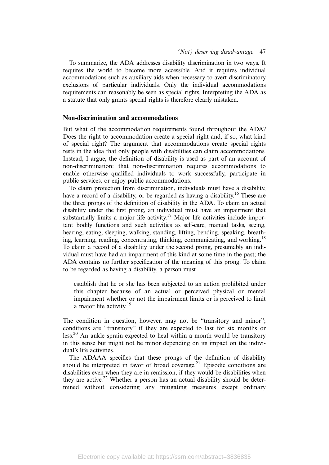To summarize, the ADA addresses disability discrimination in two ways. It requires the world to become more accessible. And it requires individual accommodations such as auxiliary aids when necessary to avert discriminatory exclusions of particular individuals. Only the individual accommodations requirements can reasonably be seen as special rights. Interpreting the ADA as a statute that only grants special rights is therefore clearly mistaken.

### Non-discrimination and accommodations

But what of the accommodation requirements found throughout the ADA? Does the right to accommodation create a special right and, if so, what kind of special right? The argument that accommodations create special rights rests in the idea that only people with disabilities can claim accommodations. Instead, I argue, the definition of disability is used as part of an account of non-discrimination: that non-discrimination requires accommodations to enable otherwise qualified individuals to work successfully, participate in public services, or enjoy public accommodations.

To claim protection from discrimination, individuals must have a disability, have a record of a disability, or be regarded as having a disability.<sup>16</sup> These are the three prongs of the definition of disability in the ADA. To claim an actual disability under the first prong, an individual must have an impairment that substantially limits a major life activity.<sup>17</sup> Major life activities include important bodily functions and such activities as self-care, manual tasks, seeing, hearing, eating, sleeping, walking, standing, lifting, bending, speaking, breathing, learning, reading, concentrating, thinking, communicating, and working.<sup>18</sup> To claim a record of a disability under the second prong, presumably an individual must have had an impairment of this kind at some time in the past; the ADA contains no further specification of the meaning of this prong. To claim to be regarded as having a disability, a person must

establish that he or she has been subjected to an action prohibited under this chapter because of an actual or perceived physical or mental impairment whether or not the impairment limits or is perceived to limit a major life activity.<sup>19</sup>

The condition in question, however, may not be "transitory and minor"; conditions are "transitory" if they are expected to last for six months or less.20 An ankle sprain expected to heal within a month would be transitory in this sense but might not be minor depending on its impact on the individual's life activities.

The ADAAA specifies that these prongs of the definition of disability should be interpreted in favor of broad coverage. $21$  Episodic conditions are disabilities even when they are in remission, if they would be disabilities when they are active.<sup>22</sup> Whether a person has an actual disability should be determined without considering any mitigating measures except ordinary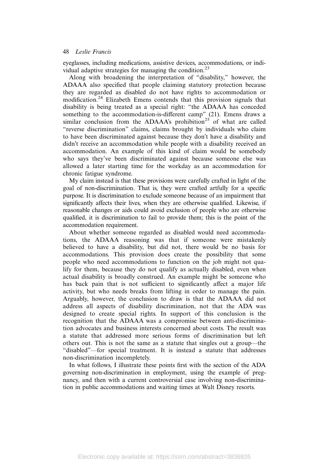eyeglasses, including medications, assistive devices, accommodations, or individual adaptive strategies for managing the condition.<sup>23</sup>

Along with broadening the interpretation of "disability," however, the ADAAA also specified that people claiming statutory protection because they are regarded as disabled do not have rights to accommodation or modification.<sup>24</sup> Elizabeth Emens contends that this provision signals that disability is being treated as a special right: "the ADAAA has conceded something to the accommodation-is-different camp" (21). Emens draws a similar conclusion from the ADAAA's prohibition<sup>25</sup> of what are called "reverse discrimination" claims, claims brought by individuals who claim to have been discriminated against because they don't have a disability and didn't receive an accommodation while people with a disability received an accommodation. An example of this kind of claim would be somebody who says they've been discriminated against because someone else was allowed a later starting time for the workday as an accommodation for chronic fatigue syndrome.

My claim instead is that these provisions were carefully crafted in light of the goal of non-discrimination. That is, they were crafted artfully for a specific purpose. It is discrimination to exclude someone because of an impairment that significantly affects their lives, when they are otherwise qualified. Likewise, if reasonable changes or aids could avoid exclusion of people who are otherwise qualified, it is discrimination to fail to provide them; this is the point of the accommodation requirement.

About whether someone regarded as disabled would need accommodations, the ADAAA reasoning was that if someone were mistakenly believed to have a disability, but did not, there would be no basis for accommodations. This provision does create the possibility that some people who need accommodations to function on the job might not qualify for them, because they do not qualify as actually disabled, even when actual disability is broadly construed. An example might be someone who has back pain that is not sufficient to significantly affect a major life activity, but who needs breaks from lifting in order to manage the pain. Arguably, however, the conclusion to draw is that the ADAAA did not address all aspects of disability discrimination, not that the ADA was designed to create special rights. In support of this conclusion is the recognition that the ADAAA was a compromise between anti-discrimination advocates and business interests concerned about costs. The result was a statute that addressed more serious forms of discrimination but left others out. This is not the same as a statute that singles out a group—the "disabled"—for special treatment. It is instead a statute that addresses non-discrimination incompletely.

In what follows, I illustrate these points first with the section of the ADA governing non-discrimination in employment, using the example of pregnancy, and then with a current controversial case involving non-discrimination in public accommodations and waiting times at Walt Disney resorts.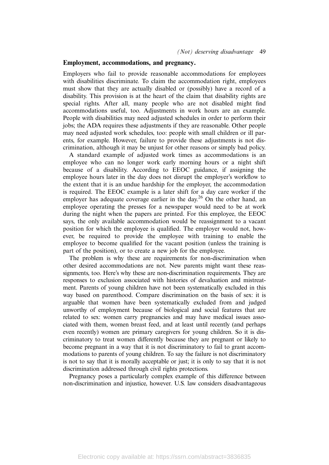# Employment, accommodations, and pregnancy.

Employers who fail to provide reasonable accommodations for employees with disabilities discriminate. To claim the accommodation right, employees must show that they are actually disabled or (possibly) have a record of a disability. This provision is at the heart of the claim that disability rights are special rights. After all, many people who are not disabled might find accommodations useful, too. Adjustments in work hours are an example. People with disabilities may need adjusted schedules in order to perform their jobs; the ADA requires these adjustments if they are reasonable. Other people may need adjusted work schedules, too: people with small children or ill parents, for example. However, failure to provide these adjustments is not discrimination, although it may be unjust for other reasons or simply bad policy.

A standard example of adjusted work times as accommodations is an employee who can no longer work early morning hours or a night shift because of a disability. According to EEOC guidance, if assigning the employee hours later in the day does not disrupt the employer's workflow to the extent that it is an undue hardship for the employer, the accommodation is required. The EEOC example is a later shift for a day care worker if the employer has adequate coverage earlier in the day.<sup>26</sup> On the other hand, an employee operating the presses for a newspaper would need to be at work during the night when the papers are printed. For this employee, the EEOC says, the only available accommodation would be reassignment to a vacant position for which the employee is qualified. The employer would not, however, be required to provide the employee with training to enable the employee to become qualified for the vacant position (unless the training is part of the position), or to create a new job for the employee.

The problem is why these are requirements for non-discrimination when other desired accommodations are not. New parents might want these reassignments, too. Here's why these are non-discrimination requirements. They are responses to exclusion associated with histories of devaluation and mistreatment. Parents of young children have not been systematically excluded in this way based on parenthood. Compare discrimination on the basis of sex: it is arguable that women have been systematically excluded from and judged unworthy of employment because of biological and social features that are related to sex: women carry pregnancies and may have medical issues associated with them, women breast feed, and at least until recently (and perhaps even recently) women are primary caregivers for young children. So it is discriminatory to treat women differently because they are pregnant or likely to become pregnant in a way that it is not discriminatory to fail to grant accommodations to parents of young children. To say the failure is not discriminatory is not to say that it is morally acceptable or just; it is only to say that it is not discrimination addressed through civil rights protections.

Pregnancy poses a particularly complex example of this difference between non-discrimination and injustice, however. U.S. law considers disadvantageous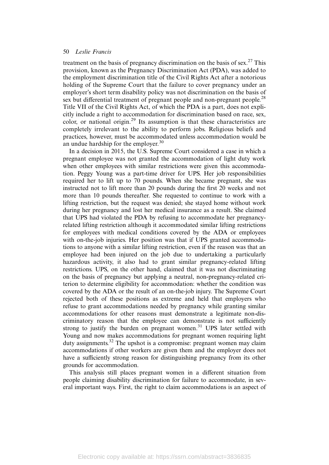treatment on the basis of pregnancy discrimination on the basis of sex.<sup>27</sup> This provision, known as the Pregnancy Discrimination Act (PDA), was added to the employment discrimination title of the Civil Rights Act after a notorious holding of the Supreme Court that the failure to cover pregnancy under an employer's short term disability policy was not discrimination on the basis of sex but differential treatment of pregnant people and non-pregnant people.<sup>28</sup> Title VII of the Civil Rights Act, of which the PDA is a part, does not explicitly include a right to accommodation for discrimination based on race, sex, color, or national origin.<sup>29</sup> Its assumption is that these characteristics are completely irrelevant to the ability to perform jobs. Religious beliefs and practices, however, must be accommodated unless accommodation would be an undue hardship for the employer.<sup>30</sup>

In a decision in 2015, the U.S. Supreme Court considered a case in which a pregnant employee was not granted the accommodation of light duty work when other employees with similar restrictions were given this accommodation. Peggy Young was a part-time driver for UPS. Her job responsibilities required her to lift up to 70 pounds. When she became pregnant, she was instructed not to lift more than 20 pounds during the first 20 weeks and not more than 10 pounds thereafter. She requested to continue to work with a lifting restriction, but the request was denied; she stayed home without work during her pregnancy and lost her medical insurance as a result. She claimed that UPS had violated the PDA by refusing to accommodate her pregnancyrelated lifting restriction although it accommodated similar lifting restrictions for employees with medical conditions covered by the ADA or employees with on-the-job injuries. Her position was that if UPS granted accommodations to anyone with a similar lifting restriction, even if the reason was that an employee had been injured on the job due to undertaking a particularly hazardous activity, it also had to grant similar pregnancy-related lifting restrictions. UPS, on the other hand, claimed that it was not discriminating on the basis of pregnancy but applying a neutral, non-pregnancy-related criterion to determine eligibility for accommodation: whether the condition was covered by the ADA or the result of an on-the-job injury. The Supreme Court rejected both of these positions as extreme and held that employers who refuse to grant accommodations needed by pregnancy while granting similar accommodations for other reasons must demonstrate a legitimate non-discriminatory reason that the employee can demonstrate is not sufficiently strong to justify the burden on pregnant women.<sup>31</sup> UPS later settled with Young and now makes accommodations for pregnant women requiring light duty assignments.<sup>32</sup> The upshot is a compromise: pregnant women may claim accommodations if other workers are given them and the employer does not have a sufficiently strong reason for distinguishing pregnancy from its other grounds for accommodation.

This analysis still places pregnant women in a different situation from people claiming disability discrimination for failure to accommodate, in several important ways. First, the right to claim accommodations is an aspect of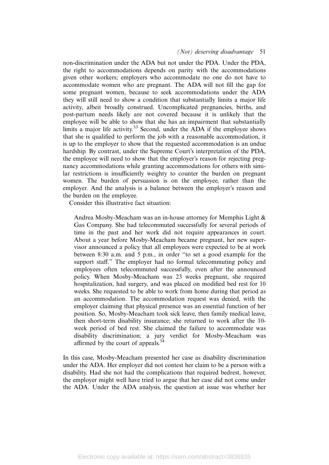#### (Not) deserving disadvantage 51

non-discrimination under the ADA but not under the PDA. Under the PDA, the right to accommodations depends on parity with the accommodations given other workers; employers who accommodate no one do not have to accommodate women who are pregnant. The ADA will not fill the gap for some pregnant women, because to seek accommodations under the ADA they will still need to show a condition that substantially limits a major life activity, albeit broadly construed. Uncomplicated pregnancies, births, and post-partum needs likely are not covered because it is unlikely that the employee will be able to show that she has an impairment that substantially limits a major life activity.<sup>33</sup> Second, under the ADA if the employee shows that she is qualified to perform the job with a reasonable accommodation, it is up to the employer to show that the requested accommodation is an undue hardship. By contrast, under the Supreme Court's interpretation of the PDA, the employee will need to show that the employer's reason for rejecting pregnancy accommodations while granting accommodations for others with similar restrictions is insufficiently weighty to counter the burden on pregnant women. The burden of persuasion is on the employee, rather than the employer. And the analysis is a balance between the employer's reason and the burden on the employee.

Consider this illustrative fact situation:

Andrea Mosby-Meacham was an in-house attorney for Memphis Light & Gas Company. She had telecommuted successfully for several periods of time in the past and her work did not require appearances in court. About a year before Mosby-Meacham became pregnant, her new supervisor announced a policy that all employees were expected to be at work between 8:30 a.m. and 5 p.m., in order "to set a good example for the support staff." The employer had no formal telecommuting policy and employees often telecommuted successfully, even after the announced policy. When Mosby-Meacham was 23 weeks pregnant, she required hospitalization, had surgery, and was placed on modified bed rest for 10 weeks. She requested to be able to work from home during that period as an accommodation. The accommodation request was denied, with the employer claiming that physical presence was an essential function of her position. So, Mosby-Meacham took sick leave, then family medical leave, then short-term disability insurance; she returned to work after the 10 week period of bed rest. She claimed the failure to accommodate was disability discrimination; a jury verdict for Mosby-Meacham was affirmed by the court of appeals.<sup>34</sup>

In this case, Mosby-Meacham presented her case as disability discrimination under the ADA. Her employer did not contest her claim to be a person with a disability. Had she not had the complications that required bedrest, however, the employer might well have tried to argue that her case did not come under the ADA. Under the ADA analysis, the question at issue was whether her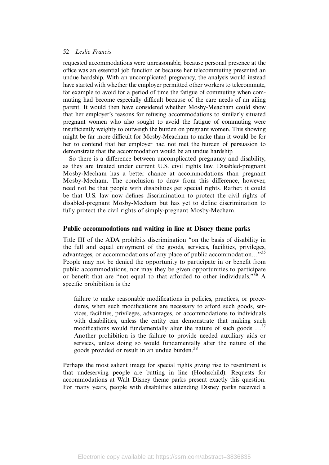requested accommodations were unreasonable, because personal presence at the office was an essential job function or because her telecommuting presented an undue hardship. With an uncomplicated pregnancy, the analysis would instead have started with whether the employer permitted other workers to telecommute, for example to avoid for a period of time the fatigue of commuting when commuting had become especially difficult because of the care needs of an ailing parent. It would then have considered whether Mosby-Meacham could show that her employer's reasons for refusing accommodations to similarly situated pregnant women who also sought to avoid the fatigue of commuting were insufficiently weighty to outweigh the burden on pregnant women. This showing might be far more difficult for Mosby-Meacham to make than it would be for her to contend that her employer had not met the burden of persuasion to demonstrate that the accommodation would be an undue hardship.

So there is a difference between uncomplicated pregnancy and disability, as they are treated under current U.S. civil rights law. Disabled-pregnant Mosby-Mecham has a better chance at accommodations than pregnant Mosby-Mecham. The conclusion to draw from this difference, however, need not be that people with disabilities get special rights. Rather, it could be that U.S. law now defines discrimination to protect the civil rights of disabled-pregnant Mosby-Mecham but has yet to define discrimination to fully protect the civil rights of simply-pregnant Mosby-Mecham.

# Public accommodations and waiting in line at Disney theme parks

Title III of the ADA prohibits discrimination "on the basis of disability in the full and equal enjoyment of the goods, services, facilities, privileges, advantages, or accommodations of any place of public accommodation…"<sup>35</sup> People may not be denied the opportunity to participate in or benefit from public accommodations, nor may they be given opportunities to participate or benefit that are "not equal to that afforded to other individuals."<sup>36</sup> A specific prohibition is the

failure to make reasonable modifications in policies, practices, or procedures, when such modifications are necessary to afford such goods, services, facilities, privileges, advantages, or accommodations to individuals with disabilities, unless the entity can demonstrate that making such modifications would fundamentally alter the nature of such goods  $\ldots$ <sup>37</sup> Another prohibition is the failure to provide needed auxiliary aids or services, unless doing so would fundamentally alter the nature of the goods provided or result in an undue burden.<sup>38</sup>

Perhaps the most salient image for special rights giving rise to resentment is that undeserving people are butting in line (Hochschild). Requests for accommodations at Walt Disney theme parks present exactly this question. For many years, people with disabilities attending Disney parks received a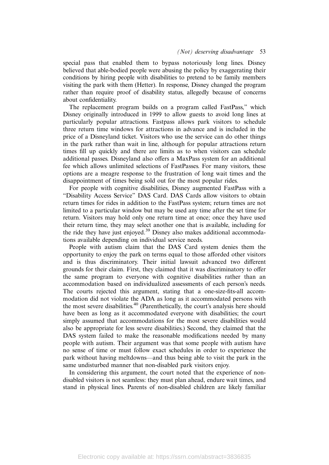special pass that enabled them to bypass notoriously long lines. Disney believed that able-bodied people were abusing the policy by exaggerating their conditions by hiring people with disabilities to pretend to be family members visiting the park with them (Hetter). In response, Disney changed the program rather than require proof of disability status, allegedly because of concerns about confidentiality.

The replacement program builds on a program called FastPass," which Disney originally introduced in 1999 to allow guests to avoid long lines at particularly popular attractions. Fastpass allows park visitors to schedule three return time windows for attractions in advance and is included in the price of a Disneyland ticket. Visitors who use the service can do other things in the park rather than wait in line, although for popular attractions return times fill up quickly and there are limits as to when visitors can schedule additional passes. Disneyland also offers a MaxPass system for an additional fee which allows unlimited selections of FastPasses. For many visitors, these options are a meagre response to the frustration of long wait times and the disappointment of times being sold out for the most popular rides.

For people with cognitive disabilities, Disney augmented FastPass with a "Disability Access Service" DAS Card. DAS Cards allow visitors to obtain return times for rides in addition to the FastPass system; return times are not limited to a particular window but may be used any time after the set time for return. Visitors may hold only one return time at once; once they have used their return time, they may select another one that is available, including for the ride they have just enjoyed.<sup>39</sup> Disney also makes additional accommodations available depending on individual service needs.

People with autism claim that the DAS Card system denies them the opportunity to enjoy the park on terms equal to those afforded other visitors and is thus discriminatory. Their initial lawsuit advanced two different grounds for their claim. First, they claimed that it was discriminatory to offer the same program to everyone with cognitive disabilities rather than an accommodation based on individualized assessments of each person's needs. The courts rejected this argument, stating that a one-size-fits-all accommodation did not violate the ADA as long as it accommodated persons with the most severe disabilities.<sup>40</sup> (Parenthetically, the court's analysis here should have been as long as it accommodated everyone with disabilities; the court simply assumed that accommodations for the most severe disabilities would also be appropriate for less severe disabilities.) Second, they claimed that the DAS system failed to make the reasonable modifications needed by many people with autism. Their argument was that some people with autism have no sense of time or must follow exact schedules in order to experience the park without having meltdowns—and thus being able to visit the park in the same undisturbed manner that non-disabled park visitors enjoy.

In considering this argument, the court noted that the experience of nondisabled visitors is not seamless: they must plan ahead, endure wait times, and stand in physical lines. Parents of non-disabled children are likely familiar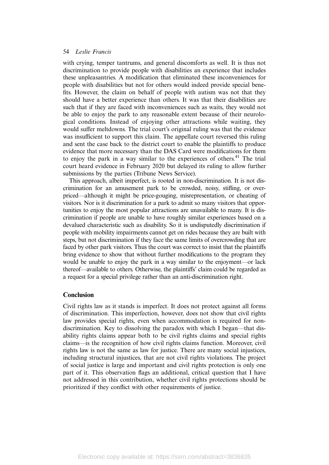with crying, temper tantrums, and general discomforts as well. It is thus not discrimination to provide people with disabilities an experience that includes these unpleasantries. A modification that eliminated these inconveniences for people with disabilities but not for others would indeed provide special benefits. However, the claim on behalf of people with autism was not that they should have a better experience than others. It was that their disabilities are such that if they are faced with inconveniences such as waits, they would not be able to enjoy the park to any reasonable extent because of their neurological conditions. Instead of enjoying other attractions while waiting, they would suffer meltdowns. The trial court's original ruling was that the evidence was insufficient to support this claim. The appellate court reversed this ruling and sent the case back to the district court to enable the plaintiffs to produce evidence that more necessary than the DAS Card were modifications for them to enjoy the park in a way similar to the experiences of others.<sup>41</sup> The trial court heard evidence in February 2020 but delayed its ruling to allow further submissions by the parties (Tribune News Service).

This approach, albeit imperfect, is rooted in non-discrimination. It is not discrimination for an amusement park to be crowded, noisy, stifling, or overpriced—although it might be price-gouging, misrepresentation, or cheating of visitors. Nor is it discrimination for a park to admit so many visitors that opportunities to enjoy the most popular attractions are unavailable to many. It is discrimination if people are unable to have roughly similar experiences based on a devalued characteristic such as disability. So it is undisputedly discrimination if people with mobility impairments cannot get on rides because they are built with steps, but not discrimination if they face the same limits of overcrowding that are faced by other park visitors. Thus the court was correct to insist that the plaintiffs bring evidence to show that without further modifications to the program they would be unable to enjoy the park in a way similar to the enjoyment—or lack thereof—available to others. Otherwise, the plaintiffs' claim could be regarded as a request for a special privilege rather than an anti-discrimination right.

# Conclusion

Civil rights law as it stands is imperfect. It does not protect against all forms of discrimination. This imperfection, however, does not show that civil rights law provides special rights, even when accommodation is required for nondiscrimination. Key to dissolving the paradox with which I began—that disability rights claims appear both to be civil rights claims and special rights claims—is the recognition of how civil rights claims function. Moreover, civil rights law is not the same as law for justice. There are many social injustices, including structural injustices, that are not civil rights violations. The project of social justice is large and important and civil rights protection is only one part of it. This observation flags an additional, critical question that I have not addressed in this contribution, whether civil rights protections should be prioritized if they conflict with other requirements of justice.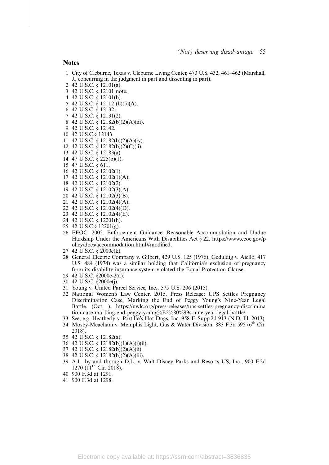#### **Notes**

- City of Cleburne, Texas v. Cleburne Living Center, 473 U.S. 432, 461–462 (Marshall, J., concurring in the judgment in part and dissenting in part).
- 42 U.S.C. § 12101(a).
- 42 U.S.C. § 12101 note.
- 42 U.S.C. § 12101(b).
- 42 U.S.C. § 12112 (b)(5)(A).
- 42 U.S.C. § 12132.
- 42 U.S.C. § 12131(2).
- 42 U.S.C. § 12182(b)(2)(A)(iii).
- 42 U.S.C. § 12142.
- 42 U.S.C.§ 12143.
- 42 U.S.C. § 12182(b)(2)(A)(iv).
- 42 U.S.C. § 12182(b)(2)(C)(ii).
- 42 U.S.C. § 12183(a). 47 U.S.C. § 225(b)(1).
- 
- 47 U.S.C. § 611.
- 42 U.S.C. § 12102(1). 42 U.S.C. § 12102(1)(A).
- 42 U.S.C. § 12102(2).
- 42 U.S.C. § 12102(3)(A).
- 42 U.S.C. § 12102(3)(B).
- 42 U.S.C. § 12102(4)(A).
- 42 U.S.C. § 12102(4)(D).
- 42 U.S.C. § 12102(4)(E).
- 42 U.S.C. § 12201(h).
- 42 U.S.C.§ 12201(g).
- EEOC. 2002. Enforcement Guidance: Reasonable Accommodation and Undue Hardship Under the Americans With Disabilities Act § 22. https://www.eeoc.gov/p olicy/docs/accommodation.html#modified.
- 42 U.S.C. § 2000e(k).
- General Electric Company v. Gilbert, 429 U.S. 125 (1976). Geduldig v. Aiello, 417 U.S. 484 (1974) was a similar holding that California's exclusion of pregnancy from its disability insurance system violated the Equal Protection Clause.
- 42 U.S.C. §2000e-2(a).
- 42 U.S.C. §2000e(j).
- Young v. United Parcel Service, Inc., 575 U.S. 206 (2015).
- National Women's Law Center. 2015. Press Release: UPS Settles Pregnancy Discrimination Case, Marking the End of Peggy Young's Nine-Year Legal Battle. (Oct. ). https://nwlc.org/press-releases/ups-settles-pregnancy-discrimina tion-case-marking-end-peggy-young%E2%80%99s-nine-year-legal-battle/.
- See, e.g. Heatherly v. Portillo's Hot Dogs, Inc.,958 F. Supp.2d 913 (N.D. Ill. 2013).
- 34 Mosby-Meacham v. Memphis Light, Gas & Water Division, 883 F.3d 595 (6<sup>th</sup> Cir. 2018).
- 42 U.S.C. § 12182(a).
- 42 U.S.C. § 12182(b)(1)(A)(i)(ii).
- 42 U.S.C. § 12182(b)(2)(A)(ii).
- 42 U.S.C. § 12182(b)(2)(A)(iii).
- A.L. by and through D.L. v. Walt Disney Parks and Resorts US, Inc., 900 F.2d 1270 (11<sup>th</sup> Cir. 2018).
- 900 F.3d at 1291.
- 900 F.3d at 1298.